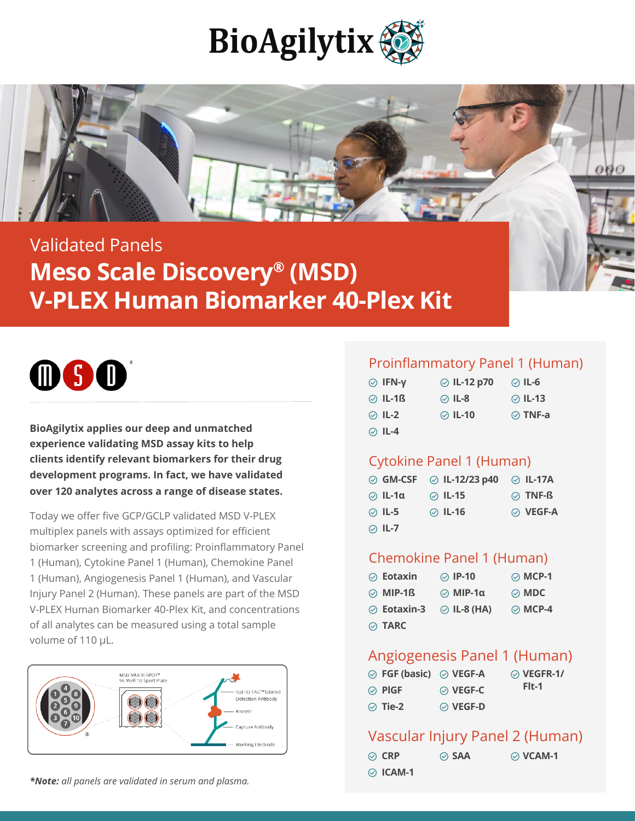



# Validated Panels **Meso Scale Discovery® (MSD) V-PLEX Human Biomarker 40-Plex Kit**



**BioAgilytix applies our deep and unmatched experience validating MSD assay kits to help clients identify relevant biomarkers for their drug development programs. In fact, we have validated over 120 analytes across a range of disease states.** 

Today we offer five GCP/GCLP validated MSD V-PLEX multiplex panels with assays optimized for efficient biomarker screening and profiling: Proinflammatory Panel 1 (Human), Cytokine Panel 1 (Human), Chemokine Panel 1 (Human), Angiogenesis Panel 1 (Human), and Vascular Injury Panel 2 (Human). These panels are part of the MSD V-PLEX Human Biomarker 40-Plex Kit, and concentrations of all analytes can be measured using a total sample volume of 110 μL.



*\*Note: all panels are validated in serum and plasma.*

#### Proinflammatory Panel 1 (Human)

| $\odot$ IFN-y | <b>⊘</b> IL-12 p70 | ⊘ IL-6        |
|---------------|--------------------|---------------|
| $\odot$ IL-1ß | ⊘ IL-8             | ⊘ IL-13       |
| $\odot$ IL-2  | ⊘ IL-10            | $\odot$ TNF-a |
| $\odot$ IL-4  |                    |               |

#### Cytokine Panel 1 (Human)

|              | $\odot$ GM-CSF $\odot$ IL-12/23 p40 $\odot$ IL-17A |                |
|--------------|----------------------------------------------------|----------------|
| ⊘ IL-1α      | $\odot$ IL-15                                      | $\odot$ TNF-ß  |
| $\odot$ IL-5 | $\odot$ IL-16                                      | $\odot$ VEGF-A |
| $\odot$ IL-7 |                                                    |                |

#### Chemokine Panel 1 (Human)

| $\oslash$ Eotaxin | ◯ IP-10                | $\odot$ MCP-1 |
|-------------------|------------------------|---------------|
| $\odot$ MIP-1ß    | $\odot$ MIP-1 $\alpha$ | $\odot$ MDC   |
| $\odot$ Eotaxin-3 | $\odot$ IL-8 (HA)      | $\odot$ MCP-4 |
| $\odot$ TARC      |                        |               |

### Angiogenesis Panel 1 (Human)

| $\odot$ FGF (basic) $\odot$ VEGF-A |                | $\odot$ VEGFR-1/ |
|------------------------------------|----------------|------------------|
| $\odot$ Pigf                       | $\odot$ VEGF-C | Fit-1            |
| $\odot$ Tie-2                      | $\odot$ VEGF-D |                  |

## Vascular Injury Panel 2 (Human)

| $\oslash$ CRP  | $\oslash$ SAA | $\odot$ VCAM-1 |
|----------------|---------------|----------------|
| $\odot$ ICAM-1 |               |                |